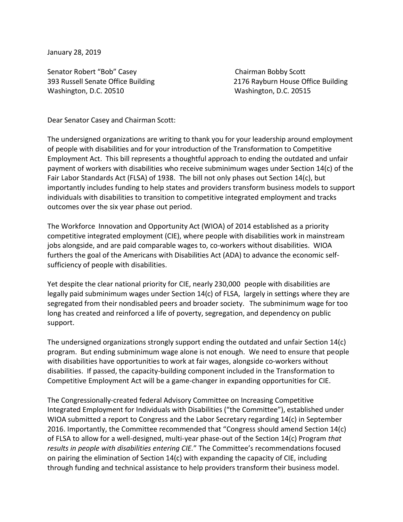January 28, 2019

Senator Robert "Bob" Casey Chairman Bobby Scott Washington, D.C. 20510 Washington, D.C. 20515

393 Russell Senate Office Building 2176 Rayburn House Office Building

Dear Senator Casey and Chairman Scott:

The undersigned organizations are writing to thank you for your leadership around employment of people with disabilities and for your introduction of the Transformation to Competitive Employment Act. This bill represents a thoughtful approach to ending the outdated and unfair payment of workers with disabilities who receive subminimum wages under Section 14(c) of the Fair Labor Standards Act (FLSA) of 1938. The bill not only phases out Section 14(c), but importantly includes funding to help states and providers transform business models to support individuals with disabilities to transition to competitive integrated employment and tracks outcomes over the six year phase out period.

The Workforce Innovation and Opportunity Act (WIOA) of 2014 established as a priority competitive integrated employment (CIE), where people with disabilities work in mainstream jobs alongside, and are paid comparable wages to, co-workers without disabilities. WIOA furthers the goal of the Americans with Disabilities Act (ADA) to advance the economic selfsufficiency of people with disabilities.

Yet despite the clear national priority for CIE, nearly 230,000 people with disabilities are legally paid subminimum wages under Section 14(c) of FLSA, largely in settings where they are segregated from their nondisabled peers and broader society. The subminimum wage for too long has created and reinforced a life of poverty, segregation, and dependency on public support.

The undersigned organizations strongly support ending the outdated and unfair Section 14(c) program. But ending subminimum wage alone is not enough. We need to ensure that people with disabilities have opportunities to work at fair wages, alongside co-workers without disabilities. If passed, the capacity-building component included in the Transformation to Competitive Employment Act will be a game-changer in expanding opportunities for CIE.

The Congressionally-created federal Advisory Committee on Increasing Competitive Integrated Employment for Individuals with Disabilities ("the Committee"), established under WIOA submitted a report to Congress and the Labor Secretary regarding 14(c) in September 2016. Importantly, the Committee recommended that "Congress should amend Section 14(c) of FLSA to allow for a well-designed, multi-year phase-out of the Section 14(c) Program *that results in people with disabilities entering CIE.*" The Committee's recommendations focused on pairing the elimination of Section 14(c) with expanding the capacity of CIE, including through funding and technical assistance to help providers transform their business model.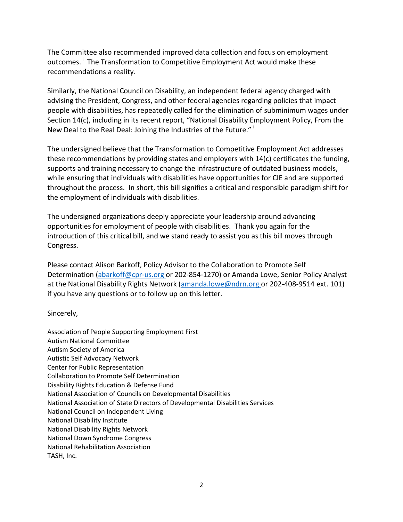The Committee also recommended improved data collection and focus on employment outcomes.<sup>i</sup> The Transformation to Competitive Employment Act would make these recommendations a reality.

Similarly, the National Council on Disability, an independent federal agency charged with advising the President, Congress, and other federal agencies regarding policies that impact people with disabilities, has repeatedly called for the elimination of subminimum wages under Section 14(c), including in its recent report, "National Disability Employment Policy, From the New Deal to the Real Deal: Joining the Industries of the Future."

The undersigned believe that the Transformation to Competitive Employment Act addresses these recommendations by providing states and employers with 14(c) certificates the funding, supports and training necessary to change the infrastructure of outdated business models, while ensuring that individuals with disabilities have opportunities for CIE and are supported throughout the process. In short, this bill signifies a critical and responsible paradigm shift for the employment of individuals with disabilities.

The undersigned organizations deeply appreciate your leadership around advancing opportunities for employment of people with disabilities. Thank you again for the introduction of this critical bill, and we stand ready to assist you as this bill moves through Congress.

Please contact Alison Barkoff, Policy Advisor to the Collaboration to Promote Self Determination [\(abarkoff@cpr-us.org](mailto:abarkoff@cpr-us.org) or 202-854-1270) or Amanda Lowe, Senior Policy Analyst at the National Disability Rights Network [\(amanda.lowe@ndrn.org](mailto:amanda.lowe@ndrn.org) or 202-408-9514 ext. 101) if you have any questions or to follow up on this letter.

Sincerely,

Association of People Supporting Employment First Autism National Committee Autism Society of America Autistic Self Advocacy Network Center for Public Representation Collaboration to Promote Self Determination Disability Rights Education & Defense Fund National Association of Councils on Developmental Disabilities National Association of State Directors of Developmental Disabilities Services National Council on Independent Living National Disability Institute National Disability Rights Network National Down Syndrome Congress National Rehabilitation Association TASH, Inc.